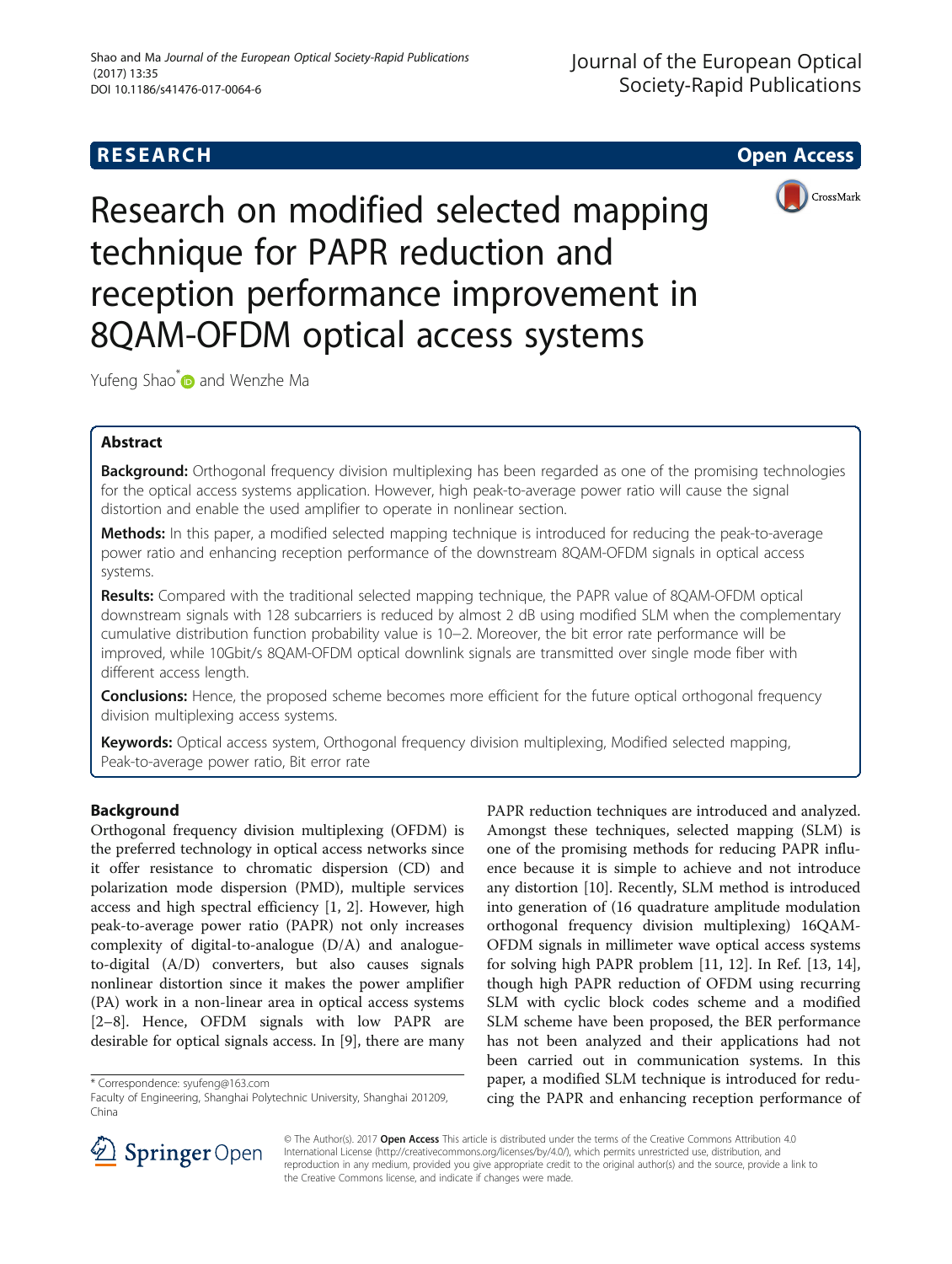# **RESEARCH CHE Open Access**



Research on modified selected mapping technique for PAPR reduction and reception performance improvement in 8QAM-OFDM optical access systems

Yufeng Shao<sup>[\\*](http://orcid.org/0000-0002-7250-3198)</sup> and Wenzhe Ma

# Abstract

**Background:** Orthogonal frequency division multiplexing has been regarded as one of the promising technologies for the optical access systems application. However, high peak-to-average power ratio will cause the signal distortion and enable the used amplifier to operate in nonlinear section.

Methods: In this paper, a modified selected mapping technique is introduced for reducing the peak-to-average power ratio and enhancing reception performance of the downstream 8QAM-OFDM signals in optical access systems.

Results: Compared with the traditional selected mapping technique, the PAPR value of 8QAM-OFDM optical downstream signals with 128 subcarriers is reduced by almost 2 dB using modified SLM when the complementary cumulative distribution function probability value is 10−2. Moreover, the bit error rate performance will be improved, while 10Gbit/s 8QAM-OFDM optical downlink signals are transmitted over single mode fiber with different access length.

Conclusions: Hence, the proposed scheme becomes more efficient for the future optical orthogonal frequency division multiplexing access systems.

Keywords: Optical access system, Orthogonal frequency division multiplexing, Modified selected mapping, Peak-to-average power ratio, Bit error rate

# Background

Orthogonal frequency division multiplexing (OFDM) is the preferred technology in optical access networks since it offer resistance to chromatic dispersion (CD) and polarization mode dispersion (PMD), multiple services access and high spectral efficiency [\[1](#page-4-0), [2\]](#page-4-0). However, high peak-to-average power ratio (PAPR) not only increases complexity of digital-to-analogue (D/A) and analogueto-digital (A/D) converters, but also causes signals nonlinear distortion since it makes the power amplifier (PA) work in a non-linear area in optical access systems [[2](#page-4-0)–[8\]](#page-4-0). Hence, OFDM signals with low PAPR are desirable for optical signals access. In [[9\]](#page-5-0), there are many

\* Correspondence: [syufeng@163.com](mailto:syufeng@163.com)

PAPR reduction techniques are introduced and analyzed. Amongst these techniques, selected mapping (SLM) is one of the promising methods for reducing PAPR influence because it is simple to achieve and not introduce any distortion [\[10](#page-5-0)]. Recently, SLM method is introduced into generation of (16 quadrature amplitude modulation orthogonal frequency division multiplexing) 16QAM-OFDM signals in millimeter wave optical access systems for solving high PAPR problem [\[11](#page-5-0), [12\]](#page-5-0). In Ref. [\[13, 14](#page-5-0)], though high PAPR reduction of OFDM using recurring SLM with cyclic block codes scheme and a modified SLM scheme have been proposed, the BER performance has not been analyzed and their applications had not been carried out in communication systems. In this paper, a modified SLM technique is introduced for reducing the PAPR and enhancing reception performance of



© The Author(s). 2017 Open Access This article is distributed under the terms of the Creative Commons Attribution 4.0 International License ([http://creativecommons.org/licenses/by/4.0/\)](http://creativecommons.org/licenses/by/4.0/), which permits unrestricted use, distribution, and reproduction in any medium, provided you give appropriate credit to the original author(s) and the source, provide a link to the Creative Commons license, and indicate if changes were made.

Faculty of Engineering, Shanghai Polytechnic University, Shanghai 201209, China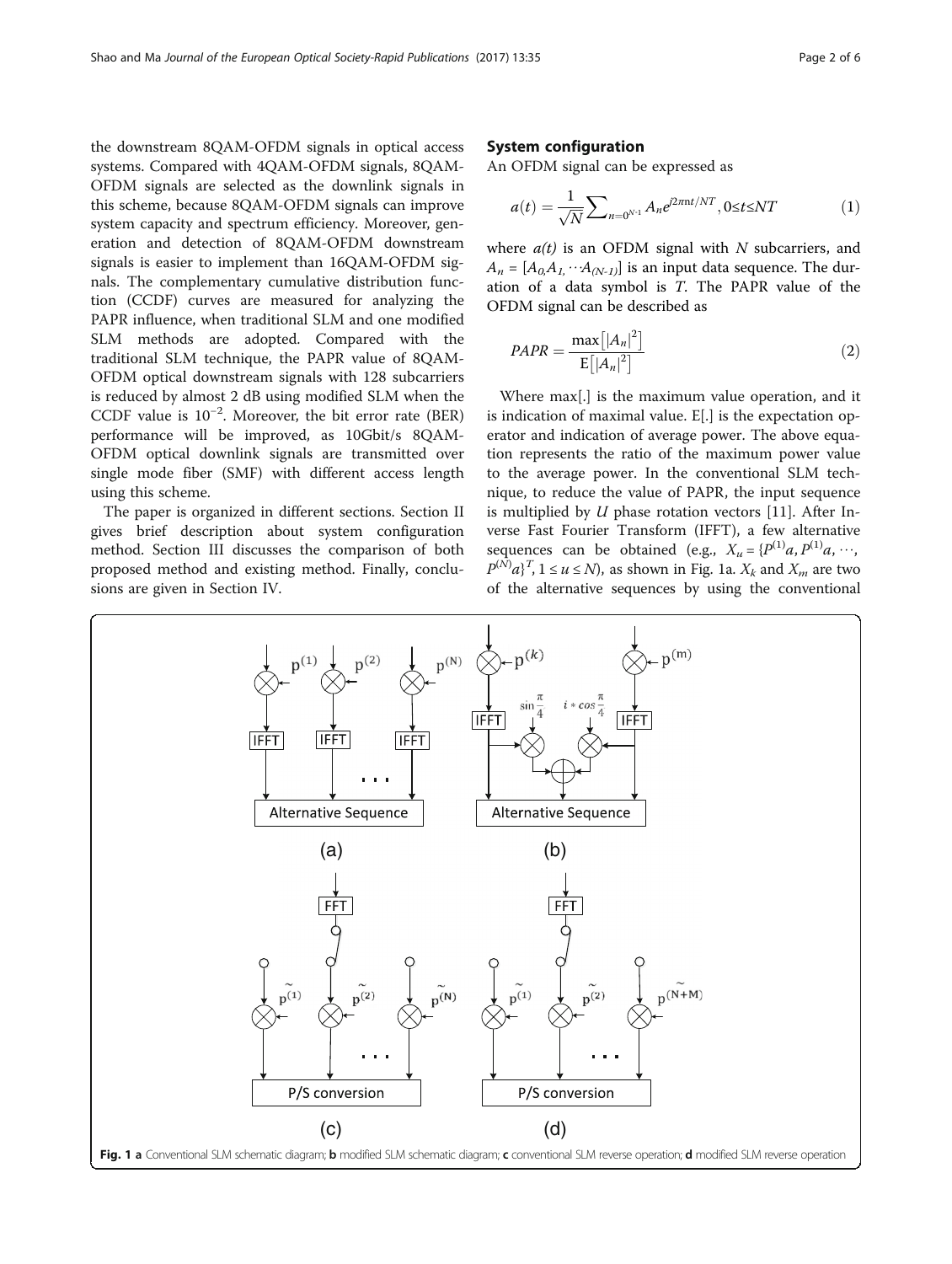<span id="page-1-0"></span>the downstream 8QAM-OFDM signals in optical access systems. Compared with 4QAM-OFDM signals, 8QAM-OFDM signals are selected as the downlink signals in this scheme, because 8QAM-OFDM signals can improve system capacity and spectrum efficiency. Moreover, generation and detection of 8QAM-OFDM downstream signals is easier to implement than 16QAM-OFDM signals. The complementary cumulative distribution function (CCDF) curves are measured for analyzing the PAPR influence, when traditional SLM and one modified SLM methods are adopted. Compared with the traditional SLM technique, the PAPR value of 8QAM-OFDM optical downstream signals with 128 subcarriers is reduced by almost 2 dB using modified SLM when the CCDF value is 10−<sup>2</sup> . Moreover, the bit error rate (BER) performance will be improved, as 10Gbit/s 8QAM-OFDM optical downlink signals are transmitted over single mode fiber (SMF) with different access length using this scheme.

The paper is organized in different sections. Section II gives brief description about system configuration method. Section III discusses the comparison of both proposed method and existing method. Finally, conclusions are given in Section IV.

## System configuration

An OFDM signal can be expressed as

$$
a(t) = \frac{1}{\sqrt{N}} \sum_{n=0^{N-1}} A_n e^{j2\pi nt/NT}, 0 \le t \le NT
$$
 (1)

where  $a(t)$  is an OFDM signal with N subcarriers, and  $A_n = [A_{0}, A_1, \cdots A_{(N-1)}]$  is an input data sequence. The duration of a data symbol is T. The PAPR value of the OFDM signal can be described as

$$
PAPR = \frac{\max\left[|A_n|^2\right]}{\mathrm{E}\left[|A_n|^2\right]} \tag{2}
$$

Where max[.] is the maximum value operation, and it is indication of [maximal value.](http://www.baidu.com/link?url=gt12xyDUiK2n1o403VTMN8rfJVTe6W3bbMs4PevFm16rzLAvuRmP1ACQLKx1YTK5nP8_axR90JJH6bDtS3KjOWaGBeoxUWv5B3oBIN-D6U-ESjqvrmzSd8J4ZLl8mcMh) E[.] is the expectation operator and indication of average power. The above equation represents the ratio of the maximum power value to the average power. In the conventional SLM technique, to reduce the value of PAPR, the input sequence is multiplied by  $U$  phase rotation vectors [[11\]](#page-5-0). After Inverse Fast Fourier Transform (IFFT), a few alternative sequences can be obtained (e.g.,  $X_u = {P^{(1)}a, P^{(1)}a, \cdots}$ ,  $P^{(N)}a$ <sup>T</sup>,  $1 \le u \le N$ ), as shown in Fig. 1a.  $X_k$  and  $X_m$  are two of the alternative sequences by using the conventional

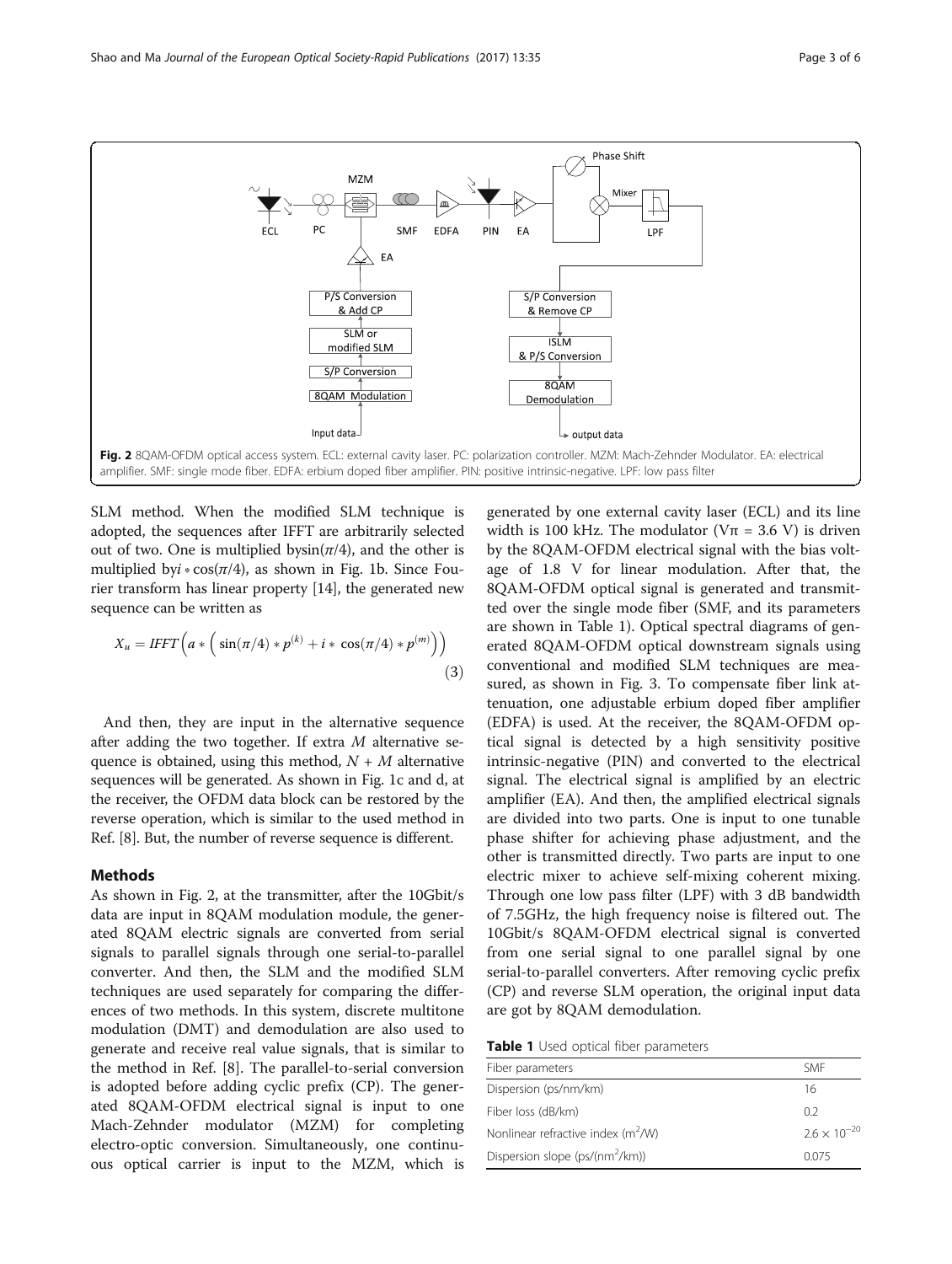

SLM method. When the modified SLM technique is adopted, the sequences after IFFT are arbitrarily selected out of two. One is multiplied by $sin(\pi/4)$ , and the other is multiplied byi ∗ cos( $\pi$ /4), as shown in Fig. [1b.](#page-1-0) Since Fourier transform has linear property [\[14](#page-5-0)], the generated new sequence can be written as

$$
X_u = IFFT\left(a * \left(\sin(\pi/4) * p^{(k)} + i * \cos(\pi/4) * p^{(m)}\right)\right)
$$
\n(3)

And then, they are input in the alternative sequence after adding the two together. If extra  $M$  alternative sequence is obtained, using this method,  $N+M$  alternative sequences will be generated. As shown in Fig. [1c and d](#page-1-0), at the receiver, the OFDM data block can be restored by the reverse operation, which is similar to the used method in Ref. [\[8](#page-4-0)]. But, the number of reverse sequence is different.

### Methods

As shown in Fig. 2, at the transmitter, after the 10Gbit/s data are input in 8QAM modulation module, the generated 8QAM electric signals are converted from serial signals to parallel signals through one serial-to-parallel converter. And then, the SLM and the modified SLM techniques are used separately for comparing the differences of two methods. In this system, discrete multitone modulation (DMT) and demodulation are also used to generate and receive real value signals, that is similar to the method in Ref. [\[8](#page-4-0)]. The parallel-to-serial conversion is adopted before adding cyclic prefix (CP). The generated 8QAM-OFDM electrical signal is input to one Mach-Zehnder modulator (MZM) for completing electro-optic conversion. Simultaneously, one continuous optical carrier is input to the MZM, which is

generated by one external cavity laser (ECL) and its line width is 100 kHz. The modulator ( $V\pi = 3.6$  V) is driven by the 8QAM-OFDM electrical signal with the bias voltage of 1.8 V for linear modulation. After that, the 8QAM-OFDM optical signal is generated and transmitted over the single mode fiber (SMF, and its parameters are shown in Table 1). Optical spectral diagrams of generated 8QAM-OFDM optical downstream signals using conventional and modified SLM techniques are measured, as shown in Fig. [3](#page-3-0). To compensate fiber link attenuation, one adjustable erbium doped fiber amplifier (EDFA) is used. At the receiver, the 8QAM-OFDM optical signal is detected by a high sensitivity positive intrinsic-negative (PIN) and converted to the electrical signal. The electrical signal is amplified by an electric amplifier (EA). And then, the amplified electrical signals are divided into two parts. One is input to one tunable phase shifter for achieving phase adjustment, and the other is transmitted directly. Two parts are input to one electric mixer to achieve self-mixing coherent mixing. Through one low pass filter (LPF) with 3 dB bandwidth of 7.5GHz, the high frequency noise is filtered out. The 10Gbit/s 8QAM-OFDM electrical signal is converted from one serial signal to one parallel signal by one serial-to-parallel converters. After removing cyclic prefix (CP) and reverse SLM operation, the original input data are got by 8QAM demodulation.

Table 1 Used optical fiber parameters

| Fiber parameters                            | <b>SMF</b>            |
|---------------------------------------------|-----------------------|
| Dispersion (ps/nm/km)                       | 16                    |
| Fiber loss (dB/km)                          | 02                    |
| Nonlinear refractive index $(m^2/W)$        | $2.6 \times 10^{-20}$ |
| Dispersion slope (ps/(nm <sup>2</sup> /km)) | 0.075                 |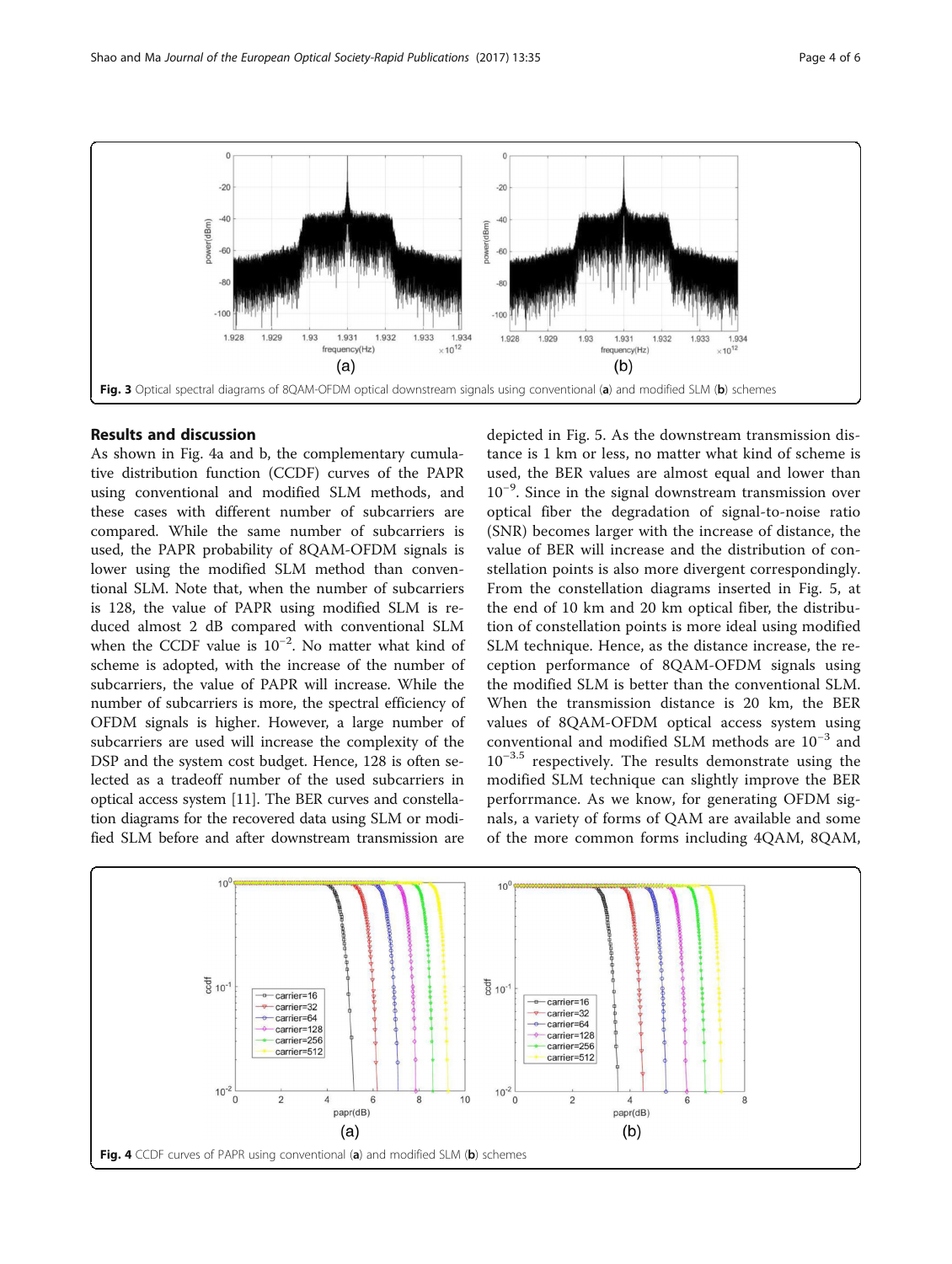<span id="page-3-0"></span>

## Results and discussion

As shown in Fig. 4a and b, the complementary cumulative distribution function (CCDF) curves of the PAPR using conventional and modified SLM methods, and these cases with different number of subcarriers are compared. While the same number of subcarriers is used, the PAPR probability of 8QAM-OFDM signals is lower using the modified SLM method than conventional SLM. Note that, when the number of subcarriers is 128, the value of PAPR using modified SLM is reduced almost 2 dB compared with conventional SLM when the CCDF value is 10<sup>-2</sup>. No matter what kind of scheme is adopted, with the increase of the number of subcarriers, the value of PAPR will increase. While the number of subcarriers is more, the spectral efficiency of OFDM signals is higher. However, a large number of subcarriers are used will increase the complexity of the DSP and the system cost budget. Hence, 128 is often selected as a tradeoff number of the used subcarriers in optical access system [[11](#page-5-0)]. The BER curves and constellation diagrams for the recovered data using SLM or modified SLM before and after downstream transmission are depicted in Fig. [5](#page-4-0). As the downstream transmission distance is 1 km or less, no matter what kind of scheme is used, the BER values are almost equal and lower than 10−<sup>9</sup> . Since in the signal downstream transmission over optical fiber the degradation of signal-to-noise ratio (SNR) becomes larger with the increase of distance, the value of BER will increase and the distribution of constellation points is also more divergent correspondingly. From the constellation diagrams inserted in Fig. [5](#page-4-0), at the end of 10 km and 20 km optical fiber, the distribution of constellation points is more ideal using modified SLM technique. Hence, as the distance increase, the reception performance of 8QAM-OFDM signals using the modified SLM is better than the conventional SLM. When the transmission distance is 20 km, the BER values of 8QAM-OFDM optical access system using conventional and modified SLM methods are 10−<sup>3</sup> and  $10^{-3.5}$  respectively. The results demonstrate using the modified SLM technique can slightly improve the BER perforrmance. As we know, for generating OFDM signals, a variety of forms of QAM are available and some of the more common forms including 4QAM, 8QAM,

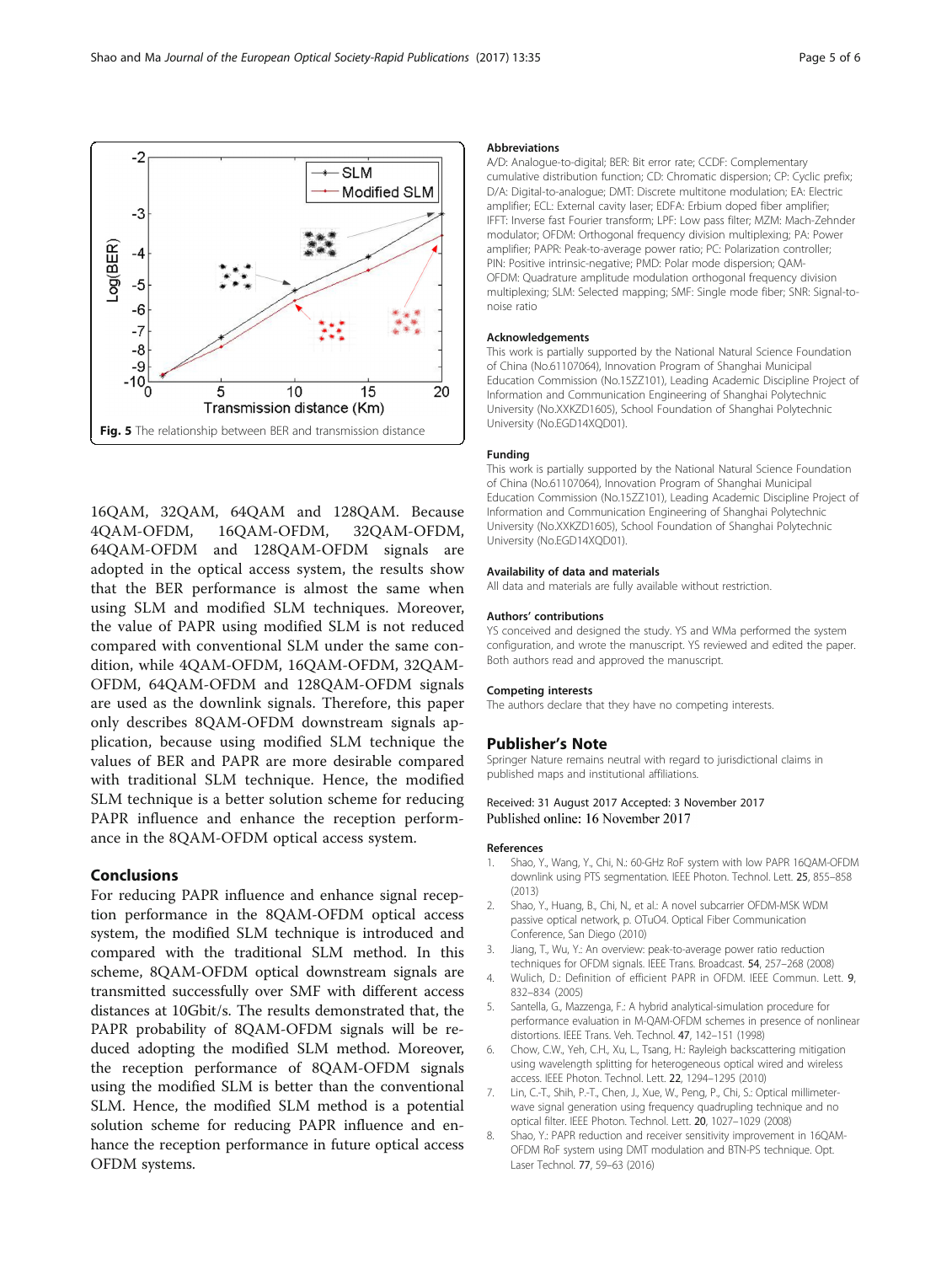<span id="page-4-0"></span>

16QAM, 32QAM, 64QAM and 128QAM. Because 4QAM-OFDM, 16QAM-OFDM, 32QAM-OFDM, 64QAM-OFDM and 128QAM-OFDM signals are adopted in the optical access system, the results show that the BER performance is almost the same when using SLM and modified SLM techniques. Moreover, the value of PAPR using modified SLM is not reduced compared with conventional SLM under the same condition, while 4QAM-OFDM, 16QAM-OFDM, 32QAM-OFDM, 64QAM-OFDM and 128QAM-OFDM signals are used as the downlink signals. Therefore, this paper only describes 8QAM-OFDM downstream signals application, because using modified SLM technique the values of BER and PAPR are more desirable compared with traditional SLM technique. Hence, the modified SLM technique is a better solution scheme for reducing PAPR influence and enhance the reception performance in the 8QAM-OFDM optical access system.

### Conclusions

For reducing PAPR influence and enhance signal reception performance in the 8QAM-OFDM optical access system, the modified SLM technique is introduced and compared with the traditional SLM method. In this scheme, 8QAM-OFDM optical downstream signals are transmitted successfully over SMF with different access distances at 10Gbit/s. The results demonstrated that, the PAPR probability of 8QAM-OFDM signals will be reduced adopting the modified SLM method. Moreover, the reception performance of 8QAM-OFDM signals using the modified SLM is better than the conventional SLM. Hence, the modified SLM method is a potential solution scheme for reducing PAPR influence and enhance the reception performance in future optical access OFDM systems.

#### Abbreviations

A/D: Analogue-to-digital; BER: Bit error rate; CCDF: Complementary cumulative distribution function; CD: Chromatic dispersion; CP: Cyclic prefix; D/A: Digital-to-analogue; DMT: Discrete multitone modulation; EA: Electric amplifier; ECL: External cavity laser; EDFA: Erbium doped fiber amplifier; IFFT: Inverse fast Fourier transform; LPF: Low pass filter; MZM: Mach-Zehnder modulator; OFDM: Orthogonal frequency division multiplexing; PA: Power amplifier; PAPR: Peak-to-average power ratio; PC: Polarization controller; PIN: Positive intrinsic-negative; PMD: Polar mode dispersion; QAM-OFDM: Quadrature amplitude modulation orthogonal frequency division multiplexing; SLM: Selected mapping; SMF: Single mode fiber; SNR: Signal-tonoise ratio

### Acknowledgements

This work is partially supported by the National Natural Science Foundation of China (No.61107064), Innovation Program of Shanghai Municipal Education Commission (No.15ZZ101), Leading Academic Discipline Project of Information and Communication Engineering of Shanghai Polytechnic University (No.XXKZD1605), School Foundation of Shanghai Polytechnic University (No.EGD14XQD01).

## Funding

This work is partially supported by the National Natural Science Foundation of China (No.61107064), Innovation Program of Shanghai Municipal Education Commission (No.15ZZ101), Leading Academic Discipline Project of Information and Communication Engineering of Shanghai Polytechnic University (No.XXKZD1605), School Foundation of Shanghai Polytechnic University (No.EGD14XQD01).

#### Availability of data and materials

All data and materials are fully available without restriction.

#### Authors' contributions

YS conceived and designed the study. YS and WMa performed the system configuration, and wrote the manuscript. YS reviewed and edited the paper. Both authors read and approved the manuscript.

#### Competing interests

The authors declare that they have no competing interests.

### Publisher's Note

Springer Nature remains neutral with regard to jurisdictional claims in published maps and institutional affiliations.

# Received: 31 August 2017 Accepted: 3 November 2017

#### References

- 1. Shao, Y., Wang, Y., Chi, N.: 60-GHz RoF system with low PAPR 16QAM-OFDM downlink using PTS segmentation. IEEE Photon. Technol. Lett. 25, 855–858 (2013)
- 2. Shao, Y., Huang, B., Chi, N., et al.: A novel subcarrier OFDM-MSK WDM passive optical network, p. OTuO4. Optical Fiber Communication Conference, San Diego (2010)
- Jiang, T., Wu, Y.: An overview: peak-to-average power ratio reduction techniques for OFDM signals. IEEE Trans. Broadcast. 54, 257–268 (2008)
- 4. Wulich, D.: Definition of efficient PAPR in OFDM. IEEE Commun. Lett. 9, 832–834 (2005)
- 5. Santella, G., Mazzenga, F.: A hybrid analytical-simulation procedure for performance evaluation in M-QAM-OFDM schemes in presence of nonlinear distortions. IEEE Trans. Veh. Technol. 47, 142–151 (1998)
- 6. Chow, C.W., Yeh, C.H., Xu, L., Tsang, H.: Rayleigh backscattering mitigation using wavelength splitting for heterogeneous optical wired and wireless access. IEEE Photon. Technol. Lett. 22, 1294–1295 (2010)
- 7. Lin, C.-T., Shih, P.-T., Chen, J., Xue, W., Peng, P., Chi, S.: Optical millimeterwave signal generation using frequency quadrupling technique and no optical filter. IEEE Photon. Technol. Lett. 20, 1027–1029 (2008)
- 8. Shao, Y.: PAPR reduction and receiver sensitivity improvement in 16QAM-OFDM RoF system using DMT modulation and BTN-PS technique. Opt. Laser Technol. 77, 59–63 (2016)